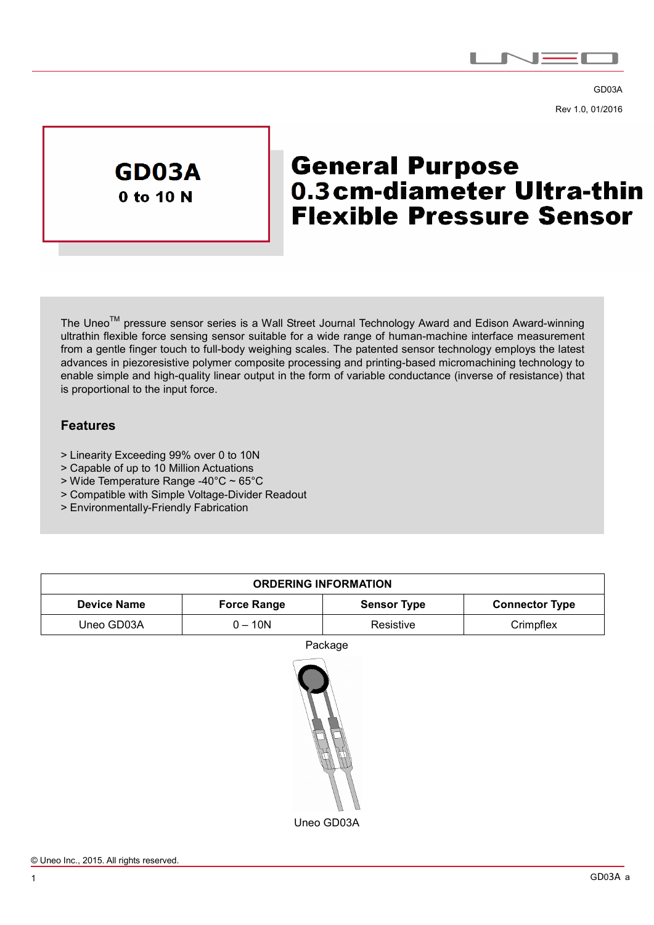

GD03A Rev 1.0, 01/2016



# **General Purpose** 0.3 cm-diameter Ultra-thin **Flexible Pressure Sensor**

The Uneo<sup>™</sup> pressure sensor series is a Wall Street Journal Technology Award and Edison Award-winning ultrathin flexible force sensing sensor suitable for a wide range of human-machine interface measurement from a gentle finger touch to full-body weighing scales. The patented sensor technology employs the latest advances in piezoresistive polymer composite processing and printing-based micromachining technology to enable simple and high-quality linear output in the form of variable conductance (inverse of resistance) that is proportional to the input force.

### **Features**

 $\overline{a}$ 

- > Linearity Exceeding 99% over 0 to 10N
- > Capable of up to 10 Million Actuations
- > Wide Temperature Range -40°C ~ 65°C
- > Compatible with Simple Voltage-Divider Readout
- > Environmentally-Friendly Fabrication

| <b>ORDERING INFORMATION</b> |                    |                    |                       |  |  |
|-----------------------------|--------------------|--------------------|-----------------------|--|--|
| <b>Device Name</b>          | <b>Force Range</b> | <b>Sensor Type</b> | <b>Connector Type</b> |  |  |
| Uneo GD03A                  | $0 - 10N$          | Resistive          | Crimpflex             |  |  |

Package

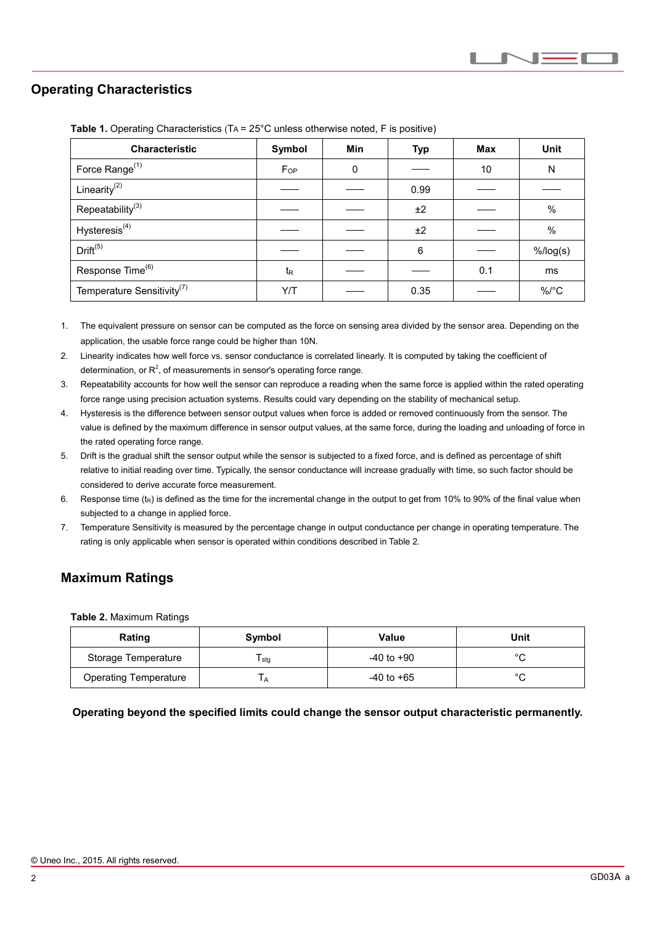## **Operating Characteristics**

 $\overline{a}$ 

| <b>Characteristic</b>                  | Symbol           | <b>Min</b> | <b>Typ</b> | Max | <b>Unit</b> |
|----------------------------------------|------------------|------------|------------|-----|-------------|
| Force Range <sup>(1)</sup>             | $F_{OP}$         | 0          |            | 10  | N           |
| Linearity $^{(2)}$                     |                  |            | 0.99       |     |             |
| Repeatability <sup>(3)</sup>           |                  |            | ±2         |     | $\%$        |
| Hysteresis <sup>(4)</sup>              |                  |            | ±2         |     | %           |
| Drift <sup>(5)</sup>                   |                  |            | 6          |     | $%$ /log(s) |
| Response Time <sup>(6)</sup>           | $t_{\mathsf{R}}$ |            |            | 0.1 | ms          |
| Temperature Sensitivity <sup>(7)</sup> | Y/T              |            | 0.35       |     | $\%$ /°C    |

**Table 1.** Operating Characteristics (TA = 25°C unless otherwise noted, F is positive)

- 1. The equivalent pressure on sensor can be computed as the force on sensing area divided by the sensor area. Depending on the application, the usable force range could be higher than 10N.
- 2. Linearity indicates how well force vs. sensor conductance is correlated linearly. It is computed by taking the coefficient of determination, or  $R^2$ , of measurements in sensor's operating force range.
- 3. Repeatability accounts for how well the sensor can reproduce a reading when the same force is applied within the rated operating force range using precision actuation systems. Results could vary depending on the stability of mechanical setup.
- 4. Hysteresis is the difference between sensor output values when force is added or removed continuously from the sensor. The value is defined by the maximum difference in sensor output values, at the same force, during the loading and unloading of force in the rated operating force range.
- 5. Drift is the gradual shift the sensor output while the sensor is subjected to a fixed force, and is defined as percentage of shift relative to initial reading over time. Typically, the sensor conductance will increase gradually with time, so such factor should be considered to derive accurate force measurement.
- 6. Response time  $(t_R)$  is defined as the time for the incremental change in the output to get from 10% to 90% of the final value when subjected to a change in applied force.
- 7. Temperature Sensitivity is measured by the percentage change in output conductance per change in operating temperature. The rating is only applicable when sensor is operated within conditions described in Table 2.

# **Maximum Ratings**

**Table 2.** Maximum Ratings

| Rating                       | Symbol       | Value          | Unit    |
|------------------------------|--------------|----------------|---------|
| Storage Temperature          | l stg        | $-40$ to $+90$ | $\circ$ |
| <b>Operating Temperature</b> | $\mathbf{H}$ | $-40$ to $+65$ | $\sim$  |

**Operating beyond the specified limits could change the sensor output characteristic permanently.**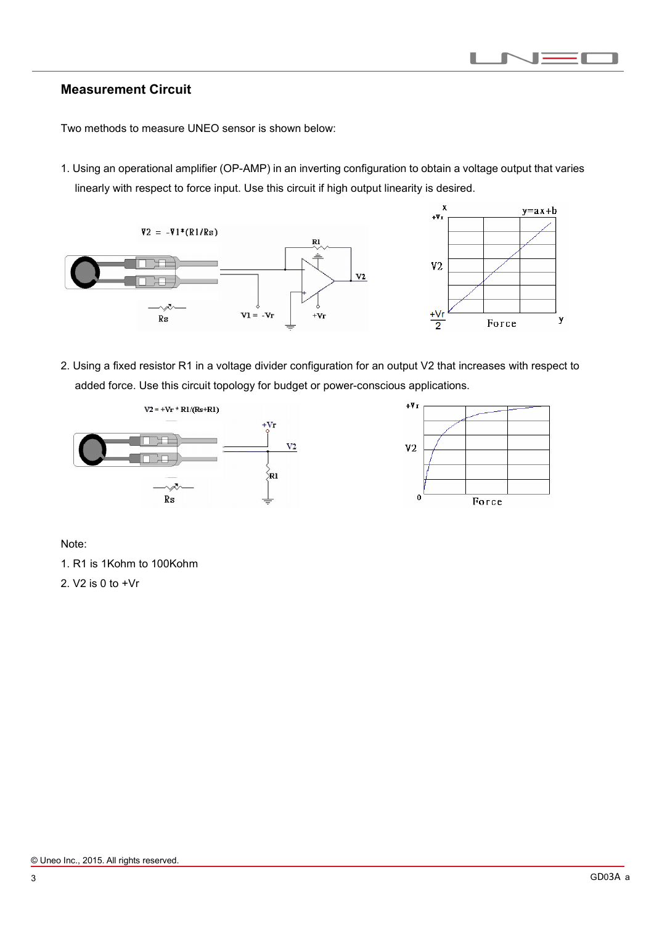#### П п  $\overline{\phantom{a}}$

#### **Measurement Circuit**

 $\overline{a}$ 

Two methods to measure UNEO sensor is shown below:

1. Using an operational amplifier (OP-AMP) in an inverting configuration to obtain a voltage output that varies linearly with respect to force input. Use this circuit if high output linearity is desired.





2. Using a fixed resistor R1 in a voltage divider configuration for an output V2 that increases with respect to added force. Use this circuit topology for budget or power-conscious applications.





Note:

1. R1 is 1Kohm to 100Kohm

2. V2 is 0 to +Vr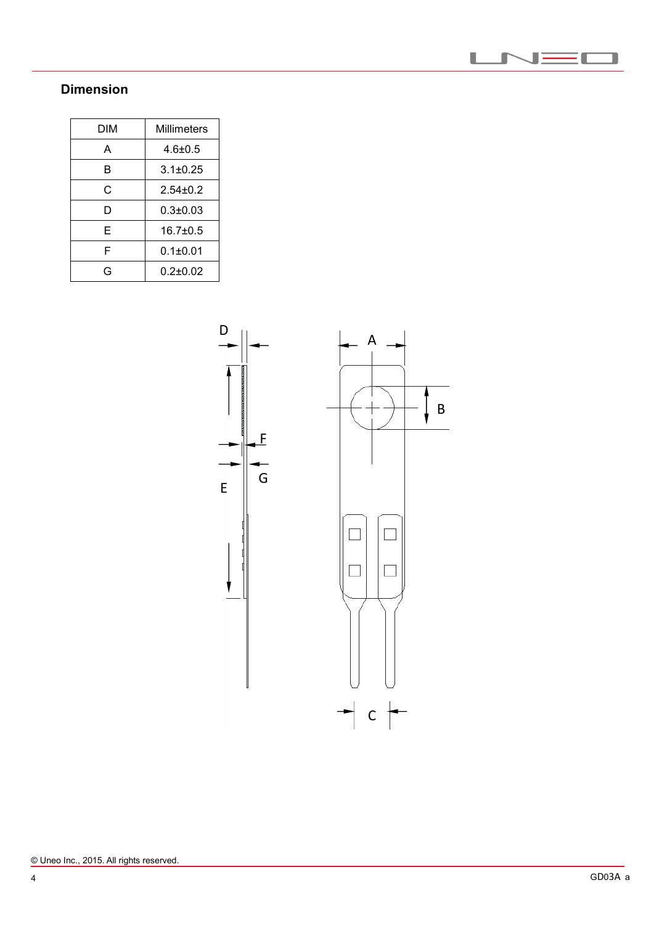

# **Dimension**

 $\overline{a}$ 

| DIM | <b>Millimeters</b> |  |
|-----|--------------------|--|
| А   | $4.6 \pm 0.5$      |  |
| в   | $3.1 \pm 0.25$     |  |
| C   | $2.54 \pm 0.2$     |  |
| D   | $0.3 + 0.03$       |  |
| E   | $16.7 \pm 0.5$     |  |
| F   | $0.1 \pm 0.01$     |  |
| G   | $0.2 + 0.02$       |  |